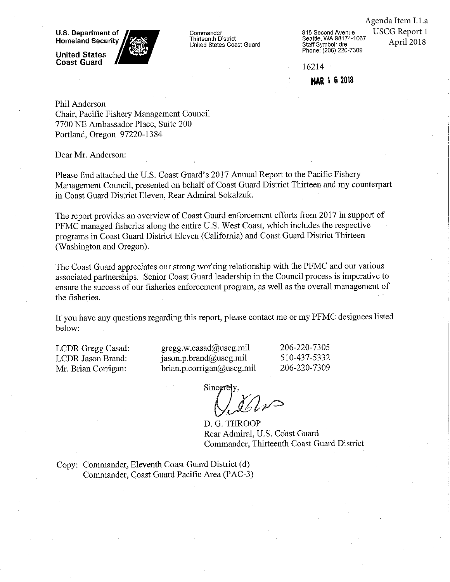U.S. Department of **Homeland Security** 

**United States Coast Guard** 



Commander Thirteenth District United States Coast Guard

USCG Report 1 915 Second Avenue Seattle, WA 98174-1067 Staff Symbol: dre Phone: (206) 220-7309

Agenda Item I.1.a

April 2018

 $16214$ 

#### **MAR 1 6 2018**

Phil Anderson Chair, Pacific Fishery Management Council 7700 NE Ambassador Place, Suite 200 Portland, Oregon 97220-1384

Dear Mr. Anderson:

Please find attached the U.S. Coast Guard's 2017 Annual Report to the Pacific Fishery Management Council, presented on behalf of Coast Guard District Thirteen and my counterpart in Coast Guard District Eleven, Rear Admiral Sokalzuk.

The report provides an overview of Coast Guard enforcement efforts from 2017 in support of PFMC managed fisheries along the entire U.S. West Coast, which includes the respective programs in Coast Guard District Eleven (California) and Coast Guard District Thirteen (Washington and Oregon).

The Coast Guard appreciates our strong working relationship with the PFMC and our various associated partnerships. Senior Coast Guard leadership in the Council process is imperative to ensure the success of our fisheries enforcement program, as well as the overall management of the fisheries.

If you have any questions regarding this report, please contact me or my PFMC designees listed below:

LCDR Gregg Casad: **LCDR** Jason Brand: Mr. Brian Corrigan:

 $gregg.w. casad@useg.mil$  $jason.p. brand@useg.mil$ brian.p.corrigan@uscg.mil 206-220-7305 510-437-5332 206-220-7309

Sincerely,

D. G. THROOP Rear Admiral, U.S. Coast Guard Commander, Thirteenth Coast Guard District

Copy: Commander, Eleventh Coast Guard District (d) Commander, Coast Guard Pacific Area (PAC-3)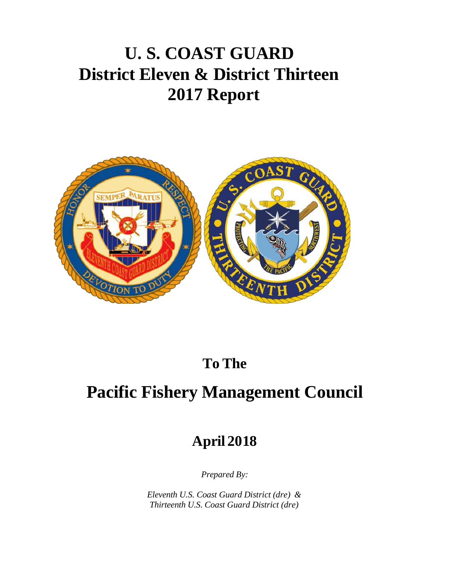# **U. S. COAST GUARD District Eleven & District Thirteen 2017 Report**



## **To The**

# **Pacific Fishery Management Council**

## **April 2018**

*Prepared By:*

*Eleventh U.S. Coast Guard District (dre) & Thirteenth U.S. Coast Guard District (dre)*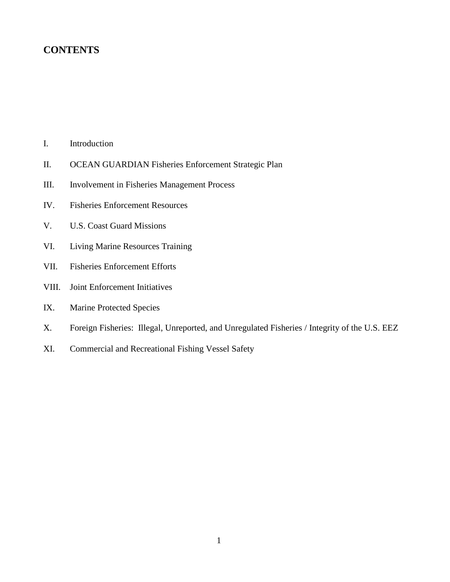## **CONTENTS**

I. Introduction

- II. OCEAN GUARDIAN Fisheries Enforcement Strategic Plan
- III. Involvement in Fisheries Management Process
- IV. Fisheries Enforcement Resources
- V. U.S. Coast Guard Missions
- VI. Living Marine Resources Training
- VII. Fisheries Enforcement Efforts
- VIII. Joint Enforcement Initiatives
- IX. Marine Protected Species
- X. Foreign Fisheries: Illegal, Unreported, and Unregulated Fisheries / Integrity of the U.S. EEZ
- XI. Commercial and Recreational Fishing Vessel Safety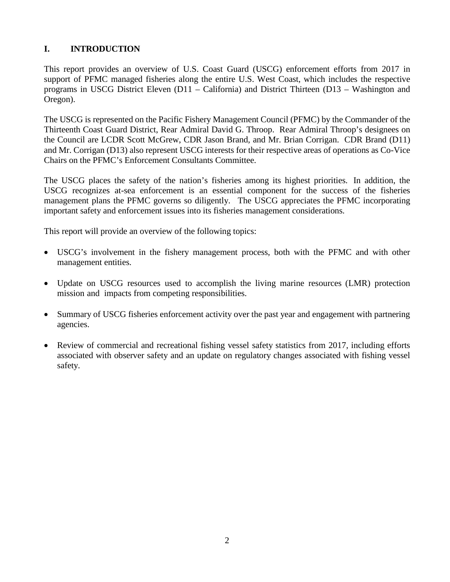## **I. INTRODUCTION**

This report provides an overview of U.S. Coast Guard (USCG) enforcement efforts from 2017 in support of PFMC managed fisheries along the entire U.S. West Coast, which includes the respective programs in USCG District Eleven (D11 – California) and District Thirteen (D13 – Washington and Oregon).

The USCG is represented on the Pacific Fishery Management Council (PFMC) by the Commander of the Thirteenth Coast Guard District, Rear Admiral David G. Throop. Rear Admiral Throop's designees on the Council are LCDR Scott McGrew, CDR Jason Brand, and Mr. Brian Corrigan. CDR Brand (D11) and Mr. Corrigan (D13) also represent USCG interests for their respective areas of operations as Co-Vice Chairs on the PFMC's Enforcement Consultants Committee.

The USCG places the safety of the nation's fisheries among its highest priorities. In addition, the USCG recognizes at-sea enforcement is an essential component for the success of the fisheries management plans the PFMC governs so diligently. The USCG appreciates the PFMC incorporating important safety and enforcement issues into its fisheries management considerations.

This report will provide an overview of the following topics:

- USCG's involvement in the fishery management process, both with the PFMC and with other management entities.
- Update on USCG resources used to accomplish the living marine resources (LMR) protection mission and impacts from competing responsibilities.
- Summary of USCG fisheries enforcement activity over the past year and engagement with partnering agencies.
- Review of commercial and recreational fishing vessel safety statistics from 2017, including efforts associated with observer safety and an update on regulatory changes associated with fishing vessel safety.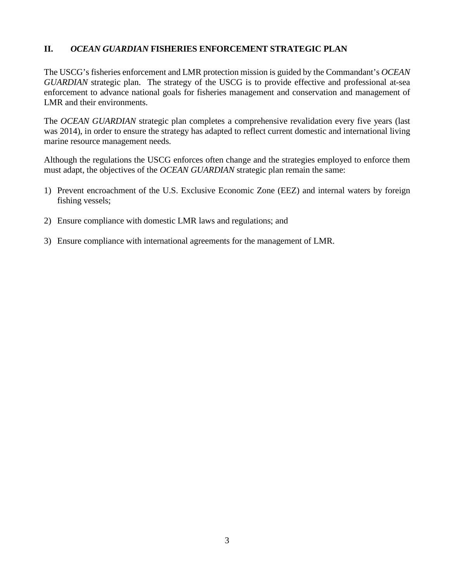## **II.** *OCEAN GUARDIAN* **FISHERIES ENFORCEMENT STRATEGIC PLAN**

The USCG's fisheries enforcement and LMR protection mission is guided by the Commandant's *OCEAN GUARDIAN* strategic plan. The strategy of the USCG is to provide effective and professional at-sea enforcement to advance national goals for fisheries management and conservation and management of LMR and their environments.

The *OCEAN GUARDIAN* strategic plan completes a comprehensive revalidation every five years (last was 2014), in order to ensure the strategy has adapted to reflect current domestic and international living marine resource management needs.

Although the regulations the USCG enforces often change and the strategies employed to enforce them must adapt, the objectives of the *OCEAN GUARDIAN* strategic plan remain the same:

- 1) Prevent encroachment of the U.S. Exclusive Economic Zone (EEZ) and internal waters by foreign fishing vessels;
- 2) Ensure compliance with domestic LMR laws and regulations; and
- 3) Ensure compliance with international agreements for the management of LMR.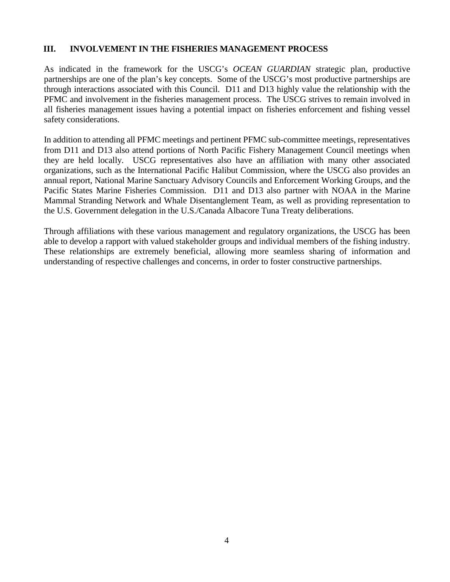#### **III. INVOLVEMENT IN THE FISHERIES MANAGEMENT PROCESS**

As indicated in the framework for the USCG's *OCEAN GUARDIAN* strategic plan, productive partnerships are one of the plan's key concepts. Some of the USCG's most productive partnerships are through interactions associated with this Council. D11 and D13 highly value the relationship with the PFMC and involvement in the fisheries management process. The USCG strives to remain involved in all fisheries management issues having a potential impact on fisheries enforcement and fishing vessel safety considerations.

In addition to attending all PFMC meetings and pertinent PFMC sub-committee meetings, representatives from D11 and D13 also attend portions of North Pacific Fishery Management Council meetings when they are held locally. USCG representatives also have an affiliation with many other associated organizations, such as the International Pacific Halibut Commission, where the USCG also provides an annual report, National Marine Sanctuary Advisory Councils and Enforcement Working Groups, and the Pacific States Marine Fisheries Commission. D11 and D13 also partner with NOAA in the Marine Mammal Stranding Network and Whale Disentanglement Team, as well as providing representation to the U.S. Government delegation in the U.S./Canada Albacore Tuna Treaty deliberations.

Through affiliations with these various management and regulatory organizations, the USCG has been able to develop a rapport with valued stakeholder groups and individual members of the fishing industry. These relationships are extremely beneficial, allowing more seamless sharing of information and understanding of respective challenges and concerns, in order to foster constructive partnerships.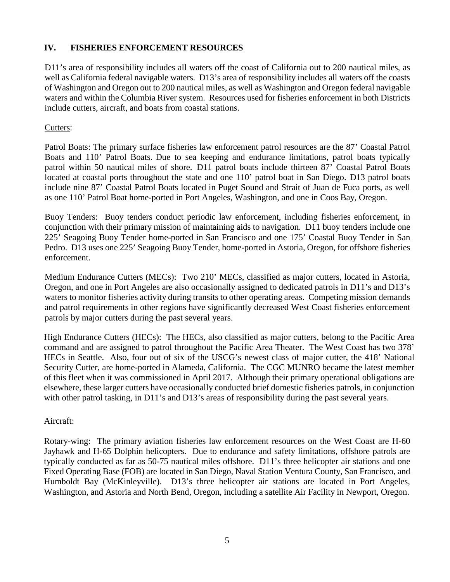#### **IV. FISHERIES ENFORCEMENT RESOURCES**

D11's area of responsibility includes all waters off the coast of California out to 200 nautical miles, as well as California federal navigable waters. D13's area of responsibility includes all waters off the coasts of Washington and Oregon out to 200 nautical miles, as well as Washington and Oregon federal navigable waters and within the Columbia River system. Resources used for fisheries enforcement in both Districts include cutters, aircraft, and boats from coastal stations.

#### Cutters:

Patrol Boats: The primary surface fisheries law enforcement patrol resources are the 87' Coastal Patrol Boats and 110' Patrol Boats. Due to sea keeping and endurance limitations, patrol boats typically patrol within 50 nautical miles of shore. D11 patrol boats include thirteen 87' Coastal Patrol Boats located at coastal ports throughout the state and one 110' patrol boat in San Diego. D13 patrol boats include nine 87' Coastal Patrol Boats located in Puget Sound and Strait of Juan de Fuca ports, as well as one 110' Patrol Boat home-ported in Port Angeles, Washington, and one in Coos Bay, Oregon.

Buoy Tenders: Buoy tenders conduct periodic law enforcement, including fisheries enforcement, in conjunction with their primary mission of maintaining aids to navigation. D11 buoy tenders include one 225' Seagoing Buoy Tender home-ported in San Francisco and one 175' Coastal Buoy Tender in San Pedro. D13 uses one 225' Seagoing Buoy Tender, home-ported in Astoria, Oregon, for offshore fisheries enforcement.

Medium Endurance Cutters (MECs): Two 210' MECs, classified as major cutters, located in Astoria, Oregon, and one in Port Angeles are also occasionally assigned to dedicated patrols in D11's and D13's waters to monitor fisheries activity during transits to other operating areas. Competing mission demands and patrol requirements in other regions have significantly decreased West Coast fisheries enforcement patrols by major cutters during the past several years.

High Endurance Cutters (HECs): The HECs, also classified as major cutters, belong to the Pacific Area command and are assigned to patrol throughout the Pacific Area Theater. The West Coast has two 378' HECs in Seattle. Also, four out of six of the USCG's newest class of major cutter, the 418' National Security Cutter, are home-ported in Alameda, California. The CGC MUNRO became the latest member of this fleet when it was commissioned in April 2017. Although their primary operational obligations are elsewhere, these larger cutters have occasionally conducted brief domestic fisheries patrols, in conjunction with other patrol tasking, in D11's and D13's areas of responsibility during the past several years.

#### Aircraft:

Rotary-wing: The primary aviation fisheries law enforcement resources on the West Coast are H-60 Jayhawk and H-65 Dolphin helicopters. Due to endurance and safety limitations, offshore patrols are typically conducted as far as 50-75 nautical miles offshore. D11's three helicopter air stations and one Fixed Operating Base (FOB) are located in San Diego, Naval Station Ventura County, San Francisco, and Humboldt Bay (McKinleyville). D13's three helicopter air stations are located in Port Angeles, Washington, and Astoria and North Bend, Oregon, including a satellite Air Facility in Newport, Oregon.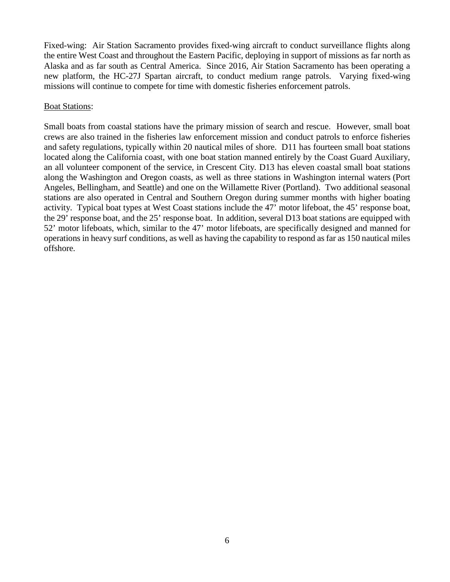Fixed-wing: Air Station Sacramento provides fixed-wing aircraft to conduct surveillance flights along the entire West Coast and throughout the Eastern Pacific, deploying in support of missions as far north as Alaska and as far south as Central America. Since 2016, Air Station Sacramento has been operating a new platform, the HC-27J Spartan aircraft, to conduct medium range patrols. Varying fixed-wing missions will continue to compete for time with domestic fisheries enforcement patrols.

#### Boat Stations:

Small boats from coastal stations have the primary mission of search and rescue. However, small boat crews are also trained in the fisheries law enforcement mission and conduct patrols to enforce fisheries and safety regulations, typically within 20 nautical miles of shore. D11 has fourteen small boat stations located along the California coast, with one boat station manned entirely by the Coast Guard Auxiliary, an all volunteer component of the service, in Crescent City. D13 has eleven coastal small boat stations along the Washington and Oregon coasts, as well as three stations in Washington internal waters (Port Angeles, Bellingham, and Seattle) and one on the Willamette River (Portland). Two additional seasonal stations are also operated in Central and Southern Oregon during summer months with higher boating activity. Typical boat types at West Coast stations include the 47' motor lifeboat, the 45' response boat, the 29' response boat, and the 25' response boat. In addition, several D13 boat stations are equipped with 52' motor lifeboats, which, similar to the 47' motor lifeboats, are specifically designed and manned for operations in heavy surf conditions, as well as having the capability to respond as far as 150 nautical miles offshore.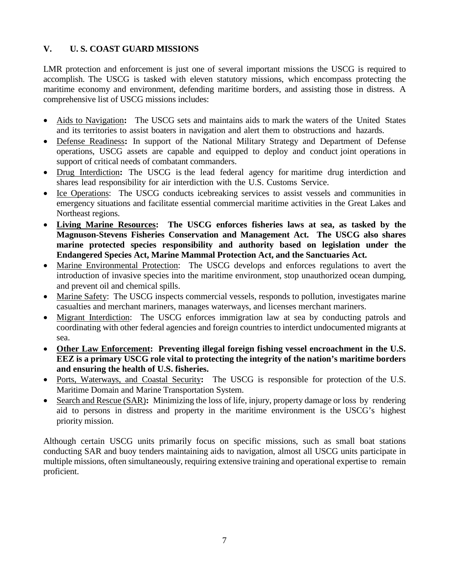## **V. U. S. COAST GUARD MISSIONS**

LMR protection and enforcement is just one of several important missions the USCG is required to accomplish. The USCG is tasked with eleven statutory missions, which encompass protecting the maritime economy and environment, defending maritime borders, and assisting those in distress. A comprehensive list of USCG missions includes:

- Aids to Navigation**:** The USCG sets and maintains aids to mark the waters of the United States and its territories to assist boaters in navigation and alert them to obstructions and hazards.
- Defense Readiness**:** In support of the National Military Strategy and Department of Defense operations, USCG assets are capable and equipped to deploy and conduct joint operations in support of critical needs of combatant commanders.
- Drug Interdiction**:** The USCG is the lead federal agency for maritime drug interdiction and shares lead responsibility for air interdiction with the U.S. Customs Service.
- Ice Operations: The USCG conducts icebreaking services to assist vessels and communities in emergency situations and facilitate essential commercial maritime activities in the Great Lakes and Northeast regions.
- **Living Marine Resources: The USCG enforces fisheries laws at sea, as tasked by the Magnuson-Stevens Fisheries Conservation and Management Act. The USCG also shares marine protected species responsibility and authority based on legislation under the Endangered Species Act, Marine Mammal Protection Act, and the Sanctuaries Act.**
- Marine Environmental Protection: The USCG develops and enforces regulations to avert the introduction of invasive species into the maritime environment, stop unauthorized ocean dumping, and prevent oil and chemical spills.
- Marine Safety: The USCG inspects commercial vessels, responds to pollution, investigates marine casualties and merchant mariners, manages waterways, and licenses merchant mariners.
- Migrant Interdiction: The USCG enforces immigration law at sea by conducting patrols and coordinating with other federal agencies and foreign countries to interdict undocumented migrants at sea.
- **Other Law Enforcement: Preventing illegal foreign fishing vessel encroachment in the U.S. EEZ is a primary USCG role vital to protecting the integrity of the nation's maritime borders and ensuring the health of U.S. fisheries.**
- Ports, Waterways, and Coastal Security**:** The USCG is responsible for protection of the U.S. Maritime Domain and Marine Transportation System.
- Search and Rescue (SAR): Minimizing the loss of life, injury, property damage or loss by rendering aid to persons in distress and property in the maritime environment is the USCG's highest priority mission.

Although certain USCG units primarily focus on specific missions, such as small boat stations conducting SAR and buoy tenders maintaining aids to navigation, almost all USCG units participate in multiple missions, often simultaneously, requiring extensive training and operational expertise to remain proficient.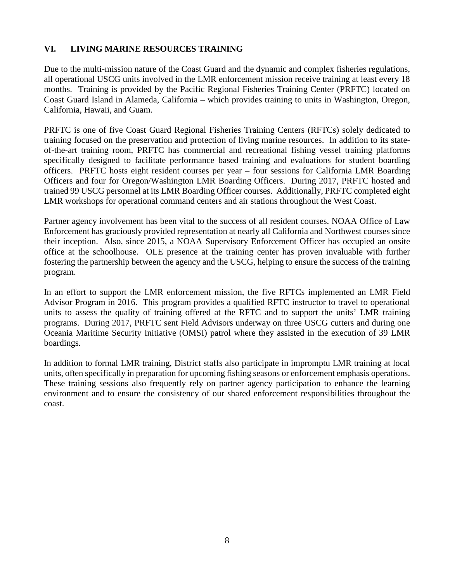## **VI. LIVING MARINE RESOURCES TRAINING**

Due to the multi-mission nature of the Coast Guard and the dynamic and complex fisheries regulations, all operational USCG units involved in the LMR enforcement mission receive training at least every 18 months. Training is provided by the Pacific Regional Fisheries Training Center (PRFTC) located on Coast Guard Island in Alameda, California – which provides training to units in Washington, Oregon, California, Hawaii, and Guam.

PRFTC is one of five Coast Guard Regional Fisheries Training Centers (RFTCs) solely dedicated to training focused on the preservation and protection of living marine resources. In addition to its stateof-the-art training room, PRFTC has commercial and recreational fishing vessel training platforms specifically designed to facilitate performance based training and evaluations for student boarding officers. PRFTC hosts eight resident courses per year – four sessions for California LMR Boarding Officers and four for Oregon/Washington LMR Boarding Officers. During 2017, PRFTC hosted and trained 99 USCG personnel at its LMR Boarding Officer courses. Additionally, PRFTC completed eight LMR workshops for operational command centers and air stations throughout the West Coast.

Partner agency involvement has been vital to the success of all resident courses. NOAA Office of Law Enforcement has graciously provided representation at nearly all California and Northwest courses since their inception. Also, since 2015, a NOAA Supervisory Enforcement Officer has occupied an onsite office at the schoolhouse. OLE presence at the training center has proven invaluable with further fostering the partnership between the agency and the USCG, helping to ensure the success of the training program.

In an effort to support the LMR enforcement mission, the five RFTCs implemented an LMR Field Advisor Program in 2016. This program provides a qualified RFTC instructor to travel to operational units to assess the quality of training offered at the RFTC and to support the units' LMR training programs. During 2017, PRFTC sent Field Advisors underway on three USCG cutters and during one Oceania Maritime Security Initiative (OMSI) patrol where they assisted in the execution of 39 LMR boardings.

In addition to formal LMR training, District staffs also participate in impromptu LMR training at local units, often specifically in preparation for upcoming fishing seasons or enforcement emphasis operations. These training sessions also frequently rely on partner agency participation to enhance the learning environment and to ensure the consistency of our shared enforcement responsibilities throughout the coast.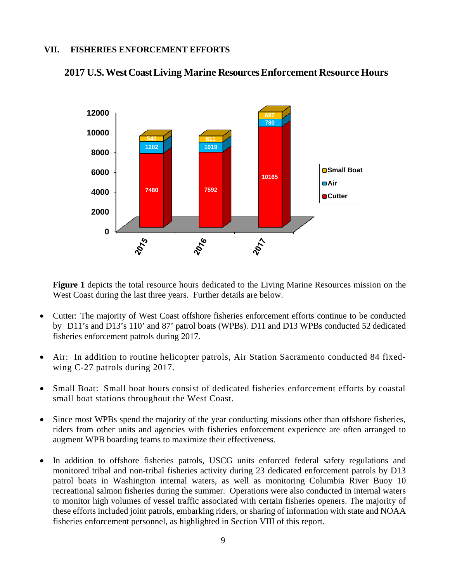#### **VII. FISHERIES ENFORCEMENT EFFORTS**



**2017 U.S.WestCoastLiving Marine ResourcesEnforcement Resource Hours**

**Figure 1** depicts the total resource hours dedicated to the Living Marine Resources mission on the West Coast during the last three years. Further details are below.

- Cutter: The majority of West Coast offshore fisheries enforcement efforts continue to be conducted by D11's and D13's 110' and 87' patrol boats (WPBs). D11 and D13 WPBs conducted 52 dedicated fisheries enforcement patrols during 2017.
- Air: In addition to routine helicopter patrols, Air Station Sacramento conducted 84 fixedwing C-27 patrols during 2017.
- Small Boat: Small boat hours consist of dedicated fisheries enforcement efforts by coastal small boat stations throughout the West Coast.
- Since most WPBs spend the majority of the year conducting missions other than offshore fisheries, riders from other units and agencies with fisheries enforcement experience are often arranged to augment WPB boarding teams to maximize their effectiveness.
- In addition to offshore fisheries patrols, USCG units enforced federal safety regulations and monitored tribal and non-tribal fisheries activity during 23 dedicated enforcement patrols by D13 patrol boats in Washington internal waters, as well as monitoring Columbia River Buoy 10 recreational salmon fisheries during the summer. Operations were also conducted in internal waters to monitor high volumes of vessel traffic associated with certain fisheries openers. The majority of these efforts included joint patrols, embarking riders, or sharing of information with state and NOAA fisheries enforcement personnel, as highlighted in Section VIII of this report.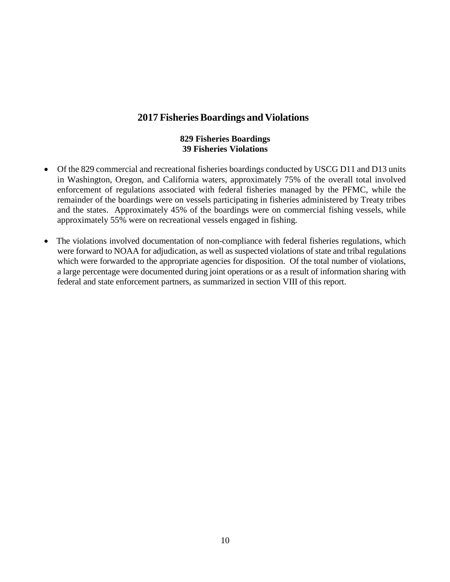## **2017 FisheriesBoardings and Violations**

#### **829 Fisheries Boardings 39 Fisheries Violations**

- Of the 829 commercial and recreational fisheries boardings conducted by USCG D11 and D13 units in Washington, Oregon, and California waters, approximately 75% of the overall total involved enforcement of regulations associated with federal fisheries managed by the PFMC, while the remainder of the boardings were on vessels participating in fisheries administered by Treaty tribes and the states. Approximately 45% of the boardings were on commercial fishing vessels, while approximately 55% were on recreational vessels engaged in fishing.
- The violations involved documentation of non-compliance with federal fisheries regulations, which were forward to NOAA for adjudication, as well as suspected violations of state and tribal regulations which were forwarded to the appropriate agencies for disposition. Of the total number of violations, a large percentage were documented during joint operations or as a result of information sharing with federal and state enforcement partners, as summarized in section VIII of this report.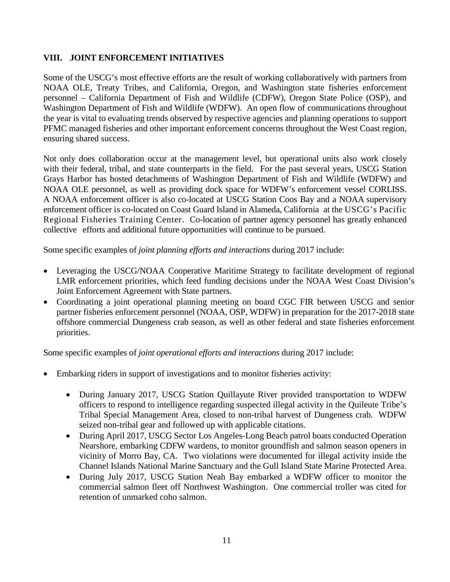#### **VIII. JOINT ENFORCEMENT INITIATIVES**

Some of the USCG's most effective efforts are the result of working collaboratively with partners from NOAA OLE, Treaty Tribes, and California, Oregon, and Washington state fisheries enforcement personnel – California Department of Fish and Wildlife (CDFW), Oregon State Police (OSP), and Washington Department of Fish and Wildlife (WDFW). An open flow of communications throughout the year is vital to evaluating trends observed by respective agencies and planning operations to support PFMC managed fisheries and other important enforcement concerns throughout the West Coast region, ensuring shared success.

Not only does collaboration occur at the management level, but operational units also work closely with their federal, tribal, and state counterparts in the field. For the past several years, USCG Station Grays Harbor has hosted detachments of Washington Department of Fish and Wildlife (WDFW) and NOAA OLE personnel, as well as providing dock space for WDFW's enforcement vessel CORLISS. A NOAA enforcement officer is also co-located at USCG Station Coos Bay and a NOAA supervisory enforcement officer is co-located on Coast Guard Island in Alameda, California at the USCG's Pacific Regional Fisheries Training Center. Co-location of partner agency personnel has greatly enhanced collective efforts and additional future opportunities will continue to be pursued.

Some specific examples of *joint planning efforts and interactions* during 2017 include:

- Leveraging the USCG/NOAA Cooperative Maritime Strategy to facilitate development of regional LMR enforcement priorities, which feed funding decisions under the NOAA West Coast Division's Joint Enforcement Agreement with State partners.
- Coordinating a joint operational planning meeting on board CGC FIR between USCG and senior partner fisheries enforcement personnel (NOAA, OSP, WDFW) in preparation for the 2017-2018 state offshore commercial Dungeness crab season, as well as other federal and state fisheries enforcement priorities.

Some specific examples of *joint operational efforts and interactions* during 2017 include:

- Embarking riders in support of investigations and to monitor fisheries activity:
	- During January 2017, USCG Station Quillayute River provided transportation to WDFW officers to respond to intelligence regarding suspected illegal activity in the Quileute Tribe's Tribal Special Management Area, closed to non-tribal harvest of Dungeness crab. WDFW seized non-tribal gear and followed up with applicable citations.
	- During April 2017, USCG Sector Los Angeles-Long Beach patrol boats conducted Operation Nearshore, embarking CDFW wardens, to monitor groundfish and salmon season openers in vicinity of Morro Bay, CA. Two violations were documented for illegal activity inside the Channel Islands National Marine Sanctuary and the Gull Island State Marine Protected Area.
	- During July 2017, USCG Station Neah Bay embarked a WDFW officer to monitor the commercial salmon fleet off Northwest Washington. One commercial troller was cited for retention of unmarked coho salmon.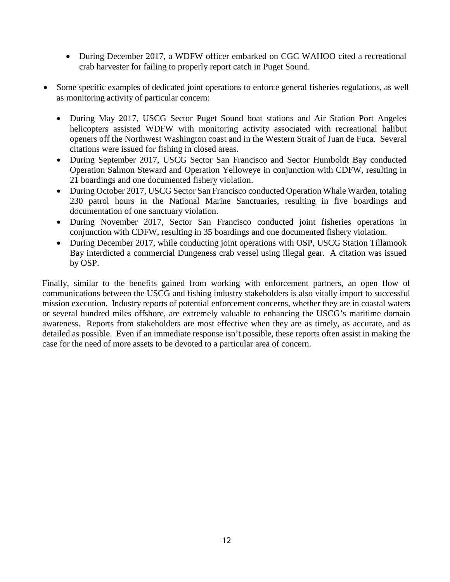- During December 2017, a WDFW officer embarked on CGC WAHOO cited a recreational crab harvester for failing to properly report catch in Puget Sound.
- Some specific examples of dedicated joint operations to enforce general fisheries regulations, as well as monitoring activity of particular concern:
	- During May 2017, USCG Sector Puget Sound boat stations and Air Station Port Angeles helicopters assisted WDFW with monitoring activity associated with recreational halibut openers off the Northwest Washington coast and in the Western Strait of Juan de Fuca. Several citations were issued for fishing in closed areas.
	- During September 2017, USCG Sector San Francisco and Sector Humboldt Bay conducted Operation Salmon Steward and Operation Yelloweye in conjunction with CDFW, resulting in 21 boardings and one documented fishery violation.
	- During October 2017, USCG Sector San Francisco conducted Operation Whale Warden, totaling 230 patrol hours in the National Marine Sanctuaries, resulting in five boardings and documentation of one sanctuary violation.
	- During November 2017, Sector San Francisco conducted joint fisheries operations in conjunction with CDFW, resulting in 35 boardings and one documented fishery violation.
	- During December 2017, while conducting joint operations with OSP, USCG Station Tillamook Bay interdicted a commercial Dungeness crab vessel using illegal gear. A citation was issued by OSP.

Finally, similar to the benefits gained from working with enforcement partners, an open flow of communications between the USCG and fishing industry stakeholders is also vitally import to successful mission execution. Industry reports of potential enforcement concerns, whether they are in coastal waters or several hundred miles offshore, are extremely valuable to enhancing the USCG's maritime domain awareness. Reports from stakeholders are most effective when they are as timely, as accurate, and as detailed as possible. Even if an immediate response isn't possible, these reports often assist in making the case for the need of more assets to be devoted to a particular area of concern.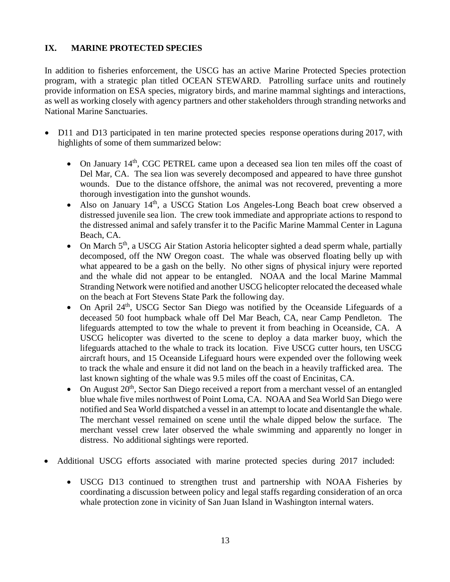## **IX. MARINE PROTECTED SPECIES**

In addition to fisheries enforcement, the USCG has an active Marine Protected Species protection program, with a strategic plan titled OCEAN STEWARD. Patrolling surface units and routinely provide information on ESA species, migratory birds, and marine mammal sightings and interactions, as well as working closely with agency partners and other stakeholders through stranding networks and National Marine Sanctuaries.

- D11 and D13 participated in ten marine protected species response operations during 2017, with highlights of some of them summarized below:
	- On January 14<sup>th</sup>, CGC PETREL came upon a deceased sea lion ten miles off the coast of Del Mar, CA. The sea lion was severely decomposed and appeared to have three gunshot wounds. Due to the distance offshore, the animal was not recovered, preventing a more thorough investigation into the gunshot wounds.
	- Also on January 14<sup>th</sup>, a USCG Station Los Angeles-Long Beach boat crew observed a distressed juvenile sea lion. The crew took immediate and appropriate actions to respond to the distressed animal and safely transfer it to the Pacific Marine Mammal Center in Laguna Beach, CA.
	- On March  $5<sup>th</sup>$ , a USCG Air Station Astoria helicopter sighted a dead sperm whale, partially decomposed, off the NW Oregon coast. The whale was observed floating belly up with what appeared to be a gash on the belly. No other signs of physical injury were reported and the whale did not appear to be entangled. NOAA and the local Marine Mammal Stranding Network were notified and another USCG helicopter relocated the deceased whale on the beach at Fort Stevens State Park the following day.
	- On April 24<sup>th</sup>, USCG Sector San Diego was notified by the Oceanside Lifeguards of a deceased 50 foot humpback whale off Del Mar Beach, CA, near Camp Pendleton. The lifeguards attempted to tow the whale to prevent it from beaching in Oceanside, CA. A USCG helicopter was diverted to the scene to deploy a data marker buoy, which the lifeguards attached to the whale to track its location. Five USCG cutter hours, ten USCG aircraft hours, and 15 Oceanside Lifeguard hours were expended over the following week to track the whale and ensure it did not land on the beach in a heavily trafficked area. The last known sighting of the whale was 9.5 miles off the coast of Encinitas, CA.
	- On August  $20<sup>th</sup>$ , Sector San Diego received a report from a merchant vessel of an entangled blue whale five miles northwest of Point Loma, CA. NOAA and Sea World San Diego were notified and Sea World dispatched a vessel in an attempt to locate and disentangle the whale. The merchant vessel remained on scene until the whale dipped below the surface. The merchant vessel crew later observed the whale swimming and apparently no longer in distress. No additional sightings were reported.
- Additional USCG efforts associated with marine protected species during 2017 included:
	- USCG D13 continued to strengthen trust and partnership with NOAA Fisheries by coordinating a discussion between policy and legal staffs regarding consideration of an orca whale protection zone in vicinity of San Juan Island in Washington internal waters.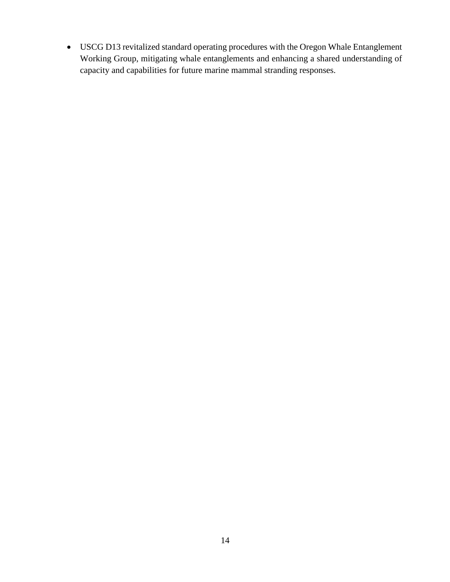• USCG D13 revitalized standard operating procedures with the Oregon Whale Entanglement Working Group, mitigating whale entanglements and enhancing a shared understanding of capacity and capabilities for future marine mammal stranding responses.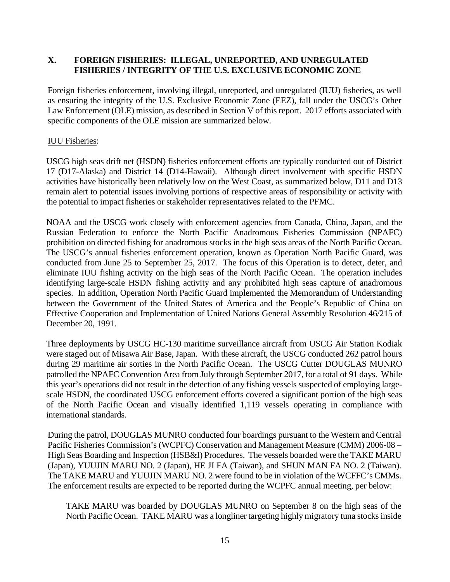## **X. FOREIGN FISHERIES: ILLEGAL, UNREPORTED, AND UNREGULATED FISHERIES / INTEGRITY OF THE U.S. EXCLUSIVE ECONOMIC ZONE**

Foreign fisheries enforcement, involving illegal, unreported, and unregulated (IUU) fisheries, as well as ensuring the integrity of the U.S. Exclusive Economic Zone (EEZ), fall under the USCG's Other Law Enforcement (OLE) mission, as described in Section V of this report. 2017 efforts associated with specific components of the OLE mission are summarized below.

#### IUU Fisheries:

USCG high seas drift net (HSDN) fisheries enforcement efforts are typically conducted out of District 17 (D17-Alaska) and District 14 (D14-Hawaii). Although direct involvement with specific HSDN activities have historically been relatively low on the West Coast, as summarized below, D11 and D13 remain alert to potential issues involving portions of respective areas of responsibility or activity with the potential to impact fisheries or stakeholder representatives related to the PFMC.

NOAA and the USCG work closely with enforcement agencies from Canada, China, Japan, and the Russian Federation to enforce the North Pacific Anadromous Fisheries Commission (NPAFC) prohibition on directed fishing for anadromous stocks in the high seas areas of the North Pacific Ocean. The USCG's annual fisheries enforcement operation, known as Operation North Pacific Guard, was conducted from June 25 to September 25, 2017. The focus of this Operation is to detect, deter, and eliminate IUU fishing activity on the high seas of the North Pacific Ocean. The operation includes identifying large-scale HSDN fishing activity and any prohibited high seas capture of anadromous species. In addition, Operation North Pacific Guard implemented the Memorandum of Understanding between the Government of the United States of America and the People's Republic of China on Effective Cooperation and Implementation of United Nations General Assembly Resolution 46/215 of December 20, 1991.

Three deployments by USCG HC-130 maritime surveillance aircraft from USCG Air Station Kodiak were staged out of Misawa Air Base, Japan. With these aircraft, the USCG conducted 262 patrol hours during 29 maritime air sorties in the North Pacific Ocean. The USCG Cutter DOUGLAS MUNRO patrolled the NPAFC Convention Area from July through September 2017, for a total of 91 days. While this year's operations did not result in the detection of any fishing vessels suspected of employing largescale HSDN, the coordinated USCG enforcement efforts covered a significant portion of the high seas of the North Pacific Ocean and visually identified 1,119 vessels operating in compliance with international standards.

During the patrol, DOUGLAS MUNRO conducted four boardings pursuant to the Western and Central Pacific Fisheries Commission's (WCPFC) Conservation and Management Measure (CMM) 2006-08 – High Seas Boarding and Inspection (HSB&I) Procedures. The vessels boarded were the TAKE MARU (Japan), YUUJIN MARU NO. 2 (Japan), HE JI FA (Taiwan), and SHUN MAN FA NO. 2 (Taiwan). The TAKE MARU and YUUJIN MARU NO. 2 were found to be in violation of the WCFFC's CMMs. The enforcement results are expected to be reported during the WCPFC annual meeting, per below:

TAKE MARU was boarded by DOUGLAS MUNRO on September 8 on the high seas of the North Pacific Ocean. TAKE MARU was a longliner targeting highly migratory tuna stocks inside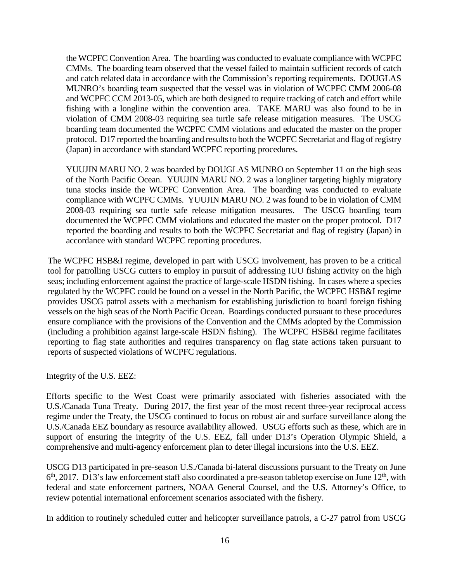the WCPFC Convention Area. The boarding was conducted to evaluate compliance with WCPFC CMMs. The boarding team observed that the vessel failed to maintain sufficient records of catch and catch related data in accordance with the Commission's reporting requirements. DOUGLAS MUNRO's boarding team suspected that the vessel was in violation of WCPFC CMM 2006-08 and WCPFC CCM 2013-05, which are both designed to require tracking of catch and effort while fishing with a longline within the convention area. TAKE MARU was also found to be in violation of CMM 2008-03 requiring sea turtle safe release mitigation measures. The USCG boarding team documented the WCPFC CMM violations and educated the master on the proper protocol. D17 reported the boarding and results to both the WCPFC Secretariat and flag of registry (Japan) in accordance with standard WCPFC reporting procedures.

YUUJIN MARU NO. 2 was boarded by DOUGLAS MUNRO on September 11 on the high seas of the North Pacific Ocean. YUUJIN MARU NO. 2 was a longliner targeting highly migratory tuna stocks inside the WCPFC Convention Area. The boarding was conducted to evaluate compliance with WCPFC CMMs. YUUJIN MARU NO. 2 was found to be in violation of CMM 2008-03 requiring sea turtle safe release mitigation measures. The USCG boarding team documented the WCPFC CMM violations and educated the master on the proper protocol. D17 reported the boarding and results to both the WCPFC Secretariat and flag of registry (Japan) in accordance with standard WCPFC reporting procedures.

The WCPFC HSB&I regime, developed in part with USCG involvement, has proven to be a critical tool for patrolling USCG cutters to employ in pursuit of addressing IUU fishing activity on the high seas; including enforcement against the practice of large-scale HSDN fishing. In cases where a species regulated by the WCPFC could be found on a vessel in the North Pacific, the WCPFC HSB&I regime provides USCG patrol assets with a mechanism for establishing jurisdiction to board foreign fishing vessels on the high seas of the North Pacific Ocean. Boardings conducted pursuant to these procedures ensure compliance with the provisions of the Convention and the CMMs adopted by the Commission (including a prohibition against large-scale HSDN fishing). The WCPFC HSB&I regime facilitates reporting to flag state authorities and requires transparency on flag state actions taken pursuant to reports of suspected violations of WCPFC regulations.

#### Integrity of the U.S. EEZ:

Efforts specific to the West Coast were primarily associated with fisheries associated with the U.S./Canada Tuna Treaty. During 2017, the first year of the most recent three-year reciprocal access regime under the Treaty, the USCG continued to focus on robust air and surface surveillance along the U.S./Canada EEZ boundary as resource availability allowed. USCG efforts such as these, which are in support of ensuring the integrity of the U.S. EEZ, fall under D13's Operation Olympic Shield, a comprehensive and multi-agency enforcement plan to deter illegal incursions into the U.S. EEZ.

USCG D13 participated in pre-season U.S./Canada bi-lateral discussions pursuant to the Treaty on June  $6<sup>th</sup>$ , 2017. D13's law enforcement staff also coordinated a pre-season tabletop exercise on June 12<sup>th</sup>, with federal and state enforcement partners, NOAA General Counsel, and the U.S. Attorney's Office, to review potential international enforcement scenarios associated with the fishery.

In addition to routinely scheduled cutter and helicopter surveillance patrols, a C-27 patrol from USCG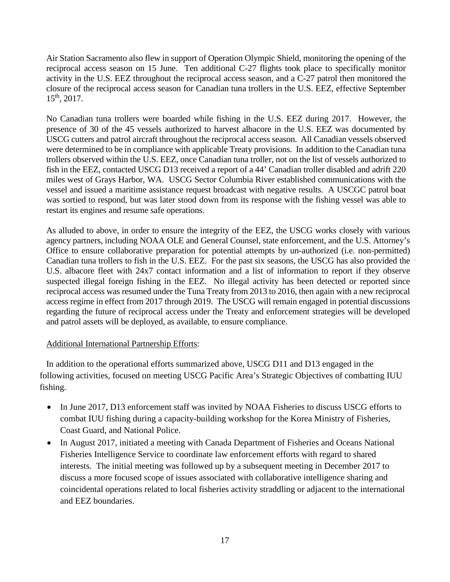Air Station Sacramento also flew in support of Operation Olympic Shield, monitoring the opening of the reciprocal access season on 15 June. Ten additional C-27 flights took place to specifically monitor activity in the U.S. EEZ throughout the reciprocal access season, and a C-27 patrol then monitored the closure of the reciprocal access season for Canadian tuna trollers in the U.S. EEZ, effective September 15th, 2017.

No Canadian tuna trollers were boarded while fishing in the U.S. EEZ during 2017. However, the presence of 30 of the 45 vessels authorized to harvest albacore in the U.S. EEZ was documented by USCG cutters and patrol aircraft throughout the reciprocal access season. All Canadian vessels observed were determined to be in compliance with applicable Treaty provisions. In addition to the Canadian tuna trollers observed within the U.S. EEZ, once Canadian tuna troller, not on the list of vessels authorized to fish in the EEZ, contacted USCG D13 received a report of a 44' Canadian troller disabled and adrift 220 miles west of Grays Harbor, WA. USCG Sector Columbia River established communications with the vessel and issued a maritime assistance request broadcast with negative results. A USCGC patrol boat was sortied to respond, but was later stood down from its response with the fishing vessel was able to restart its engines and resume safe operations.

As alluded to above, in order to ensure the integrity of the EEZ, the USCG works closely with various agency partners, including NOAA OLE and General Counsel, state enforcement, and the U.S. Attorney's Office to ensure collaborative preparation for potential attempts by un-authorized (i.e. non-permitted) Canadian tuna trollers to fish in the U.S. EEZ. For the past six seasons, the USCG has also provided the U.S. albacore fleet with 24x7 contact information and a list of information to report if they observe suspected illegal foreign fishing in the EEZ. No illegal activity has been detected or reported since reciprocal access was resumed under the Tuna Treaty from 2013 to 2016, then again with a new reciprocal access regime in effect from 2017 through 2019. The USCG will remain engaged in potential discussions regarding the future of reciprocal access under the Treaty and enforcement strategies will be developed and patrol assets will be deployed, as available, to ensure compliance.

## Additional International Partnership Efforts:

In addition to the operational efforts summarized above, USCG D11 and D13 engaged in the following activities, focused on meeting USCG Pacific Area's Strategic Objectives of combatting IUU fishing.

- In June 2017, D13 enforcement staff was invited by NOAA Fisheries to discuss USCG efforts to combat IUU fishing during a capacity-building workshop for the Korea Ministry of Fisheries, Coast Guard, and National Police.
- In August 2017, initiated a meeting with Canada Department of Fisheries and Oceans National Fisheries Intelligence Service to coordinate law enforcement efforts with regard to shared interests. The initial meeting was followed up by a subsequent meeting in December 2017 to discuss a more focused scope of issues associated with collaborative intelligence sharing and coincidental operations related to local fisheries activity straddling or adjacent to the international and EEZ boundaries.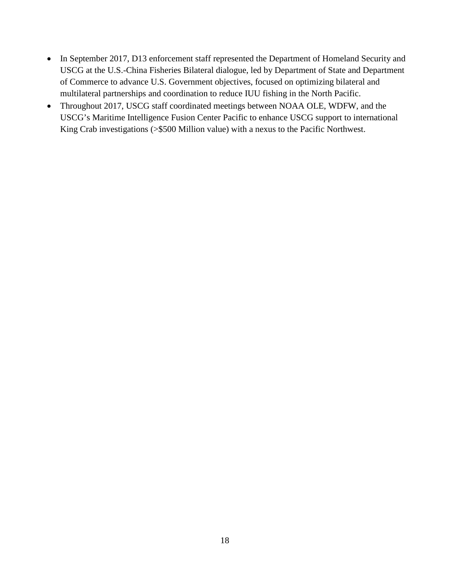- In September 2017, D13 enforcement staff represented the Department of Homeland Security and USCG at the U.S.-China Fisheries Bilateral dialogue, led by Department of State and Department of Commerce to advance U.S. Government objectives, focused on optimizing bilateral and multilateral partnerships and coordination to reduce IUU fishing in the North Pacific.
- Throughout 2017, USCG staff coordinated meetings between NOAA OLE, WDFW, and the USCG's Maritime Intelligence Fusion Center Pacific to enhance USCG support to international King Crab investigations (>\$500 Million value) with a nexus to the Pacific Northwest.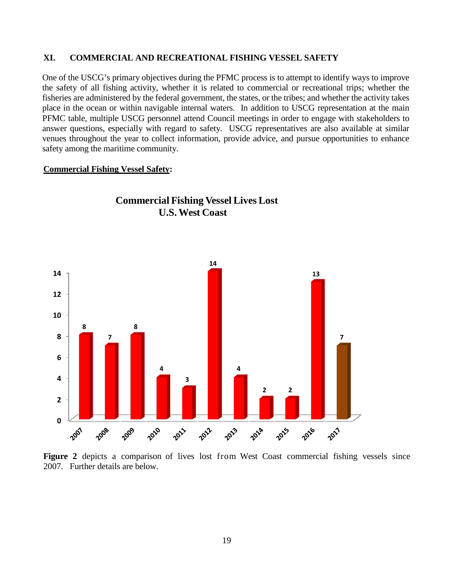#### **XI. COMMERCIAL AND RECREATIONAL FISHING VESSEL SAFETY**

One of the USCG's primary objectives during the PFMC process is to attempt to identify ways to improve the safety of all fishing activity, whether it is related to commercial or recreational trips; whether the fisheries are administered by the federal government, the states, or the tribes; and whether the activity takes place in the ocean or within navigable internal waters. In addition to USCG representation at the main PFMC table, multiple USCG personnel attend Council meetings in order to engage with stakeholders to answer questions, especially with regard to safety. USCG representatives are also available at similar venues throughout the year to collect information, provide advice, and pursue opportunities to enhance safety among the maritime community.

#### **Commercial Fishing Vessel Safety:**



## **Commercial Fishing Vessel Lives Lost U.S.West Coast**

**Figure 2** depicts a comparison of lives lost from West Coast commercial fishing vessels since 2007. Further details are below.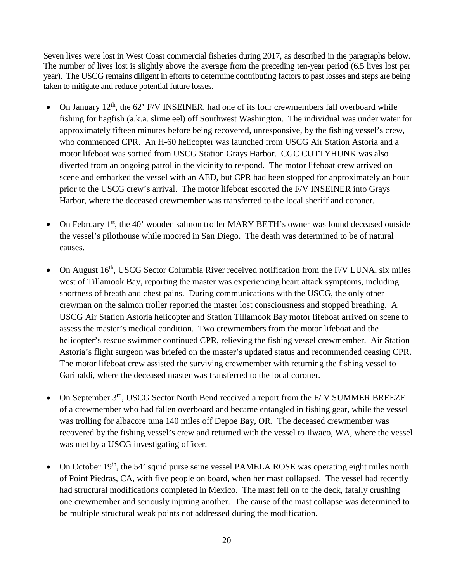Seven lives were lost in West Coast commercial fisheries during 2017, as described in the paragraphs below. The number of lives lost is slightly above the average from the preceding ten-year period (6.5 lives lost per year). The USCG remains diligent in efforts to determine contributing factors to past losses and steps are being taken to mitigate and reduce potential future losses.

- On January  $12<sup>th</sup>$ , the 62' F/V INSEINER, had one of its four crewmembers fall overboard while fishing for hagfish (a.k.a. slime eel) off Southwest Washington. The individual was under water for approximately fifteen minutes before being recovered, unresponsive, by the fishing vessel's crew, who commenced CPR. An H-60 helicopter was launched from USCG Air Station Astoria and a motor lifeboat was sortied from USCG Station Grays Harbor. CGC CUTTYHUNK was also diverted from an ongoing patrol in the vicinity to respond. The motor lifeboat crew arrived on scene and embarked the vessel with an AED, but CPR had been stopped for approximately an hour prior to the USCG crew's arrival. The motor lifeboat escorted the F/V INSEINER into Grays Harbor, where the deceased crewmember was transferred to the local sheriff and coroner.
- On February 1<sup>st</sup>, the 40' wooden salmon troller MARY BETH's owner was found deceased outside the vessel's pilothouse while moored in San Diego. The death was determined to be of natural causes.
- On August 16<sup>th</sup>, USCG Sector Columbia River received notification from the F/V LUNA, six miles west of Tillamook Bay, reporting the master was experiencing heart attack symptoms, including shortness of breath and chest pains. During communications with the USCG, the only other crewman on the salmon troller reported the master lost consciousness and stopped breathing. A USCG Air Station Astoria helicopter and Station Tillamook Bay motor lifeboat arrived on scene to assess the master's medical condition. Two crewmembers from the motor lifeboat and the helicopter's rescue swimmer continued CPR, relieving the fishing vessel crewmember. Air Station Astoria's flight surgeon was briefed on the master's updated status and recommended ceasing CPR. The motor lifeboat crew assisted the surviving crewmember with returning the fishing vessel to Garibaldi, where the deceased master was transferred to the local coroner.
- On September 3<sup>rd</sup>, USCG Sector North Bend received a report from the F/ V SUMMER BREEZE of a crewmember who had fallen overboard and became entangled in fishing gear, while the vessel was trolling for albacore tuna 140 miles off Depoe Bay, OR. The deceased crewmember was recovered by the fishing vessel's crew and returned with the vessel to Ilwaco, WA, where the vessel was met by a USCG investigating officer.
- On October 19<sup>th</sup>, the 54' squid purse seine vessel PAMELA ROSE was operating eight miles north of Point Piedras, CA, with five people on board, when her mast collapsed. The vessel had recently had structural modifications completed in Mexico. The mast fell on to the deck, fatally crushing one crewmember and seriously injuring another. The cause of the mast collapse was determined to be multiple structural weak points not addressed during the modification.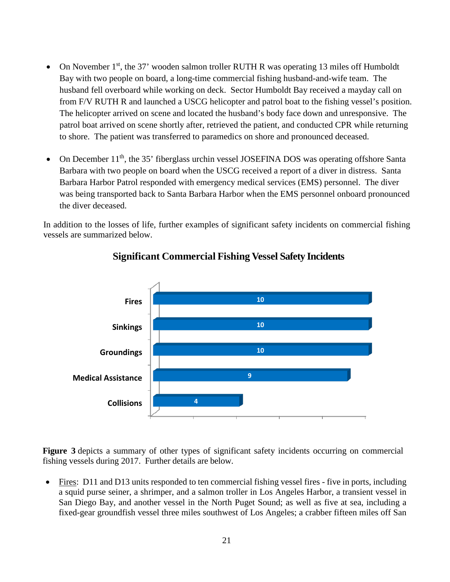- On November  $1<sup>st</sup>$ , the 37' wooden salmon troller RUTH R was operating 13 miles off Humboldt Bay with two people on board, a long-time commercial fishing husband-and-wife team. The husband fell overboard while working on deck. Sector Humboldt Bay received a mayday call on from F/V RUTH R and launched a USCG helicopter and patrol boat to the fishing vessel's position. The helicopter arrived on scene and located the husband's body face down and unresponsive. The patrol boat arrived on scene shortly after, retrieved the patient, and conducted CPR while returning to shore. The patient was transferred to paramedics on shore and pronounced deceased.
- On December  $11<sup>th</sup>$ , the 35' fiberglass urchin vessel JOSEFINA DOS was operating offshore Santa Barbara with two people on board when the USCG received a report of a diver in distress. Santa Barbara Harbor Patrol responded with emergency medical services (EMS) personnel. The diver was being transported back to Santa Barbara Harbor when the EMS personnel onboard pronounced the diver deceased.

In addition to the losses of life, further examples of significant safety incidents on commercial fishing vessels are summarized below.



## **Significant Commercial Fishing Vessel Safety Incidents**

**Figure 3** depicts a summary of other types of significant safety incidents occurring on commercial fishing vessels during 2017. Further details are below.

• Fires: D11 and D13 units responded to ten commercial fishing vessel fires - five in ports, including a squid purse seiner, a shrimper, and a salmon troller in Los Angeles Harbor, a transient vessel in San Diego Bay, and another vessel in the North Puget Sound; as well as five at sea, including a fixed-gear groundfish vessel three miles southwest of Los Angeles; a crabber fifteen miles off San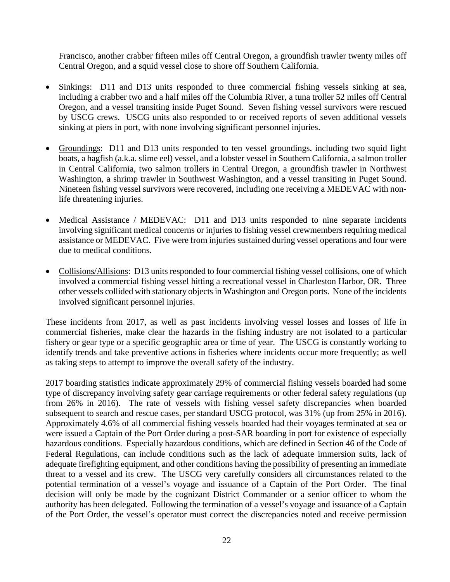Francisco, another crabber fifteen miles off Central Oregon, a groundfish trawler twenty miles off Central Oregon, and a squid vessel close to shore off Southern California.

- Sinkings: D11 and D13 units responded to three commercial fishing vessels sinking at sea, including a crabber two and a half miles off the Columbia River, a tuna troller 52 miles off Central Oregon, and a vessel transiting inside Puget Sound. Seven fishing vessel survivors were rescued by USCG crews. USCG units also responded to or received reports of seven additional vessels sinking at piers in port, with none involving significant personnel injuries.
- Groundings: D11 and D13 units responded to ten vessel groundings, including two squid light boats, a hagfish (a.k.a. slime eel) vessel, and a lobster vessel in Southern California, a salmon troller in Central California, two salmon trollers in Central Oregon, a groundfish trawler in Northwest Washington, a shrimp trawler in Southwest Washington, and a vessel transiting in Puget Sound. Nineteen fishing vessel survivors were recovered, including one receiving a MEDEVAC with nonlife threatening injuries.
- Medical Assistance / MEDEVAC: D11 and D13 units responded to nine separate incidents involving significant medical concerns or injuries to fishing vessel crewmembers requiring medical assistance or MEDEVAC. Five were from injuries sustained during vessel operations and four were due to medical conditions.
- Collisions/Allisions: D13 units responded to four commercial fishing vessel collisions, one of which involved a commercial fishing vessel hitting a recreational vessel in Charleston Harbor, OR. Three other vessels collided with stationary objects in Washington and Oregon ports. None of the incidents involved significant personnel injuries.

These incidents from 2017, as well as past incidents involving vessel losses and losses of life in commercial fisheries, make clear the hazards in the fishing industry are not isolated to a particular fishery or gear type or a specific geographic area or time of year. The USCG is constantly working to identify trends and take preventive actions in fisheries where incidents occur more frequently; as well as taking steps to attempt to improve the overall safety of the industry.

2017 boarding statistics indicate approximately 29% of commercial fishing vessels boarded had some type of discrepancy involving safety gear carriage requirements or other federal safety regulations (up from 26% in 2016). The rate of vessels with fishing vessel safety discrepancies when boarded subsequent to search and rescue cases, per standard USCG protocol, was 31% (up from 25% in 2016). Approximately 4.6% of all commercial fishing vessels boarded had their voyages terminated at sea or were issued a Captain of the Port Order during a post-SAR boarding in port for existence of especially hazardous conditions. Especially hazardous conditions, which are defined in Section 46 of the Code of Federal Regulations, can include conditions such as the lack of adequate immersion suits, lack of adequate firefighting equipment, and other conditions having the possibility of presenting an immediate threat to a vessel and its crew. The USCG very carefully considers all circumstances related to the potential termination of a vessel's voyage and issuance of a Captain of the Port Order. The final decision will only be made by the cognizant District Commander or a senior officer to whom the authority has been delegated. Following the termination of a vessel's voyage and issuance of a Captain of the Port Order, the vessel's operator must correct the discrepancies noted and receive permission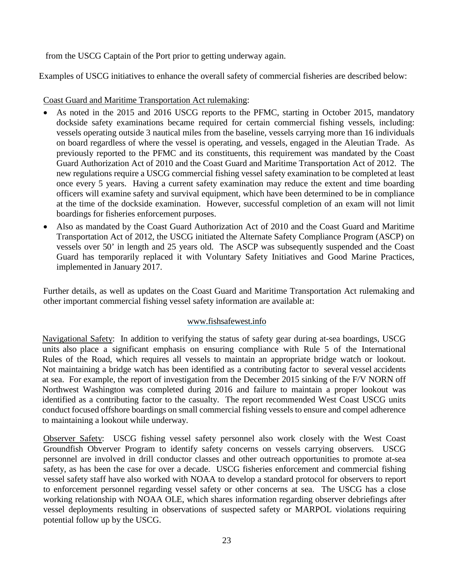from the USCG Captain of the Port prior to getting underway again.

Examples of USCG initiatives to enhance the overall safety of commercial fisheries are described below:

## Coast Guard and Maritime Transportation Act rulemaking:

- As noted in the 2015 and 2016 USCG reports to the PFMC, starting in October 2015, mandatory dockside safety examinations became required for certain commercial fishing vessels, including: vessels operating outside 3 nautical miles from the baseline, vessels carrying more than 16 individuals on board regardless of where the vessel is operating, and vessels, engaged in the Aleutian Trade. As previously reported to the PFMC and its constituents, this requirement was mandated by the Coast Guard Authorization Act of 2010 and the Coast Guard and Maritime Transportation Act of 2012. The new regulations require a USCG commercial fishing vessel safety examination to be completed at least once every 5 years. Having a current safety examination may reduce the extent and time boarding officers will examine safety and survival equipment, which have been determined to be in compliance at the time of the dockside examination. However, successful completion of an exam will not limit boardings for fisheries enforcement purposes.
- Also as mandated by the Coast Guard Authorization Act of 2010 and the Coast Guard and Maritime Transportation Act of 2012, the USCG initiated the Alternate Safety Compliance Program (ASCP) on vessels over 50' in length and 25 years old. The ASCP was subsequently suspended and the Coast Guard has temporarily replaced it with Voluntary Safety Initiatives and Good Marine Practices, implemented in January 2017.

Further details, as well as updates on the Coast Guard and Maritime Transportation Act rulemaking and other important commercial fishing vessel safety information are available at:

## [www.fishsafewest.info](http://www.fishsafewest.info/)

Navigational Safety: In addition to verifying the status of safety gear during at-sea boardings, USCG units also place a significant emphasis on ensuring compliance with Rule 5 of the International Rules of the Road, which requires all vessels to maintain an appropriate bridge watch or lookout. Not maintaining a bridge watch has been identified as a contributing factor to several vessel accidents at sea. For example, the report of investigation from the December 2015 sinking of the F/V NORN off Northwest Washington was completed during 2016 and failure to maintain a proper lookout was identified as a contributing factor to the casualty. The report recommended West Coast USCG units conduct focused offshore boardings on small commercial fishing vessels to ensure and compel adherence to maintaining a lookout while underway.

Observer Safety: USCG fishing vessel safety personnel also work closely with the West Coast Groundfish Obverver Program to identify safety concerns on vessels carrying observers. USCG personnel are involved in drill conductor classes and other outreach opportunities to promote at-sea safety, as has been the case for over a decade. USCG fisheries enforcement and commercial fishing vessel safety staff have also worked with NOAA to develop a standard protocol for observers to report to enforcement personnel regarding vessel safety or other concerns at sea. The USCG has a close working relationship with NOAA OLE, which shares information regarding observer debriefings after vessel deployments resulting in observations of suspected safety or MARPOL violations requiring potential follow up by the USCG.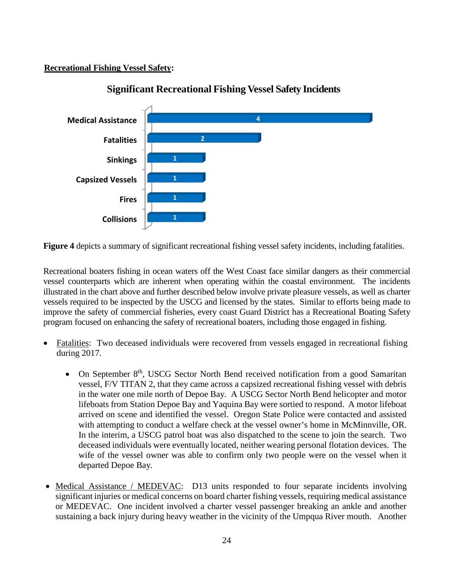## **Recreational Fishing Vessel Safety:**



## **Significant Recreational Fishing Vessel Safety Incidents**

**Figure 4** depicts a summary of significant recreational fishing vessel safety incidents, including fatalities.

Recreational boaters fishing in ocean waters off the West Coast face similar dangers as their commercial vessel counterparts which are inherent when operating within the coastal environment. The incidents illustrated in the chart above and further described below involve private pleasure vessels, as well as charter vessels required to be inspected by the USCG and licensed by the states. Similar to efforts being made to improve the safety of commercial fisheries, every coast Guard District has a Recreational Boating Safety program focused on enhancing the safety of recreational boaters, including those engaged in fishing.

- **Fatalities:** Two deceased individuals were recovered from vessels engaged in recreational fishing during 2017.
	- On September 8th, USCG Sector North Bend received notification from a good Samaritan vessel, F/V TITAN 2, that they came across a capsized recreational fishing vessel with debris in the water one mile north of Depoe Bay. A USCG Sector North Bend helicopter and motor lifeboats from Station Depoe Bay and Yaquina Bay were sortied to respond. A motor lifeboat arrived on scene and identified the vessel. Oregon State Police were contacted and assisted with attempting to conduct a welfare check at the vessel owner's home in McMinnville, OR. In the interim, a USCG patrol boat was also dispatched to the scene to join the search. Two deceased individuals were eventually located, neither wearing personal flotation devices. The wife of the vessel owner was able to confirm only two people were on the vessel when it departed Depoe Bay.
- Medical Assistance / MEDEVAC: D13 units responded to four separate incidents involving significant injuries or medical concerns on board charter fishing vessels, requiring medical assistance or MEDEVAC. One incident involved a charter vessel passenger breaking an ankle and another sustaining a back injury during heavy weather in the vicinity of the Umpqua River mouth. Another